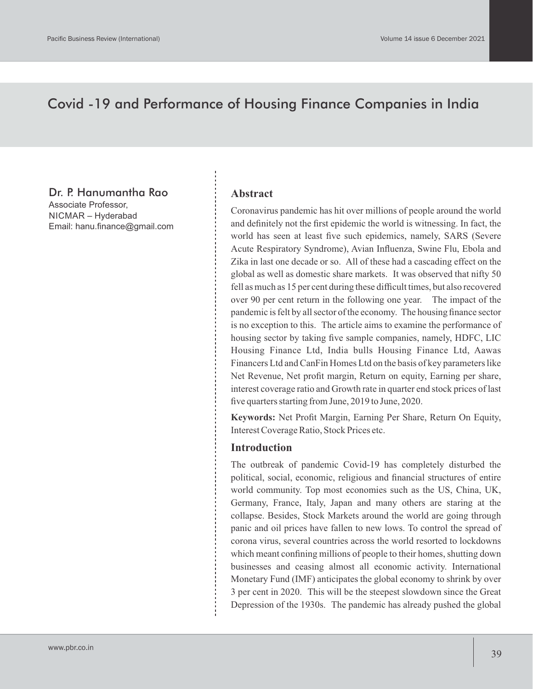# Covid -19 and Performance of Housing Finance Companies in India

# Dr. P. Hanumantha Rao

Associate Professor, NICMAR – Hyderabad Email: hanu.finance@gmail.com

### **Abstract**

Coronavirus pandemic has hit over millions of people around the world and definitely not the first epidemic the world is witnessing. In fact, the world has seen at least five such epidemics, namely, SARS (Severe Acute Respiratory Syndrome), Avian Influenza, Swine Flu, Ebola and Zika in last one decade or so. All of these had a cascading effect on the global as well as domestic share markets. It was observed that nifty 50 fell as much as 15 per cent during these difficult times, but also recovered over 90 per cent return in the following one year. The impact of the pandemic is felt by all sector of the economy. The housing finance sector is no exception to this. The article aims to examine the performance of housing sector by taking five sample companies, namely, HDFC, LIC Housing Finance Ltd, India bulls Housing Finance Ltd, Aawas Financers Ltd and CanFin Homes Ltd on the basis of key parameters like Net Revenue, Net profit margin, Return on equity, Earning per share, interest coverage ratio and Growth rate in quarter end stock prices of last five quarters starting from June, 2019 to June, 2020.

**Keywords:** Net Profit Margin, Earning Per Share, Return On Equity, Interest Coverage Ratio, Stock Prices etc.

# **Introduction**

The outbreak of pandemic Covid-19 has completely disturbed the political, social, economic, religious and financial structures of entire world community. Top most economies such as the US, China, UK, Germany, France, Italy, Japan and many others are staring at the collapse. Besides, Stock Markets around the world are going through panic and oil prices have fallen to new lows. To control the spread of corona virus, several countries across the world resorted to lockdowns which meant confining millions of people to their homes, shutting down businesses and ceasing almost all economic activity. International Monetary Fund (IMF) anticipates the global economy to shrink by over 3 per cent in 2020. This will be the steepest slowdown since the Great Depression of the 1930s. The pandemic has already pushed the global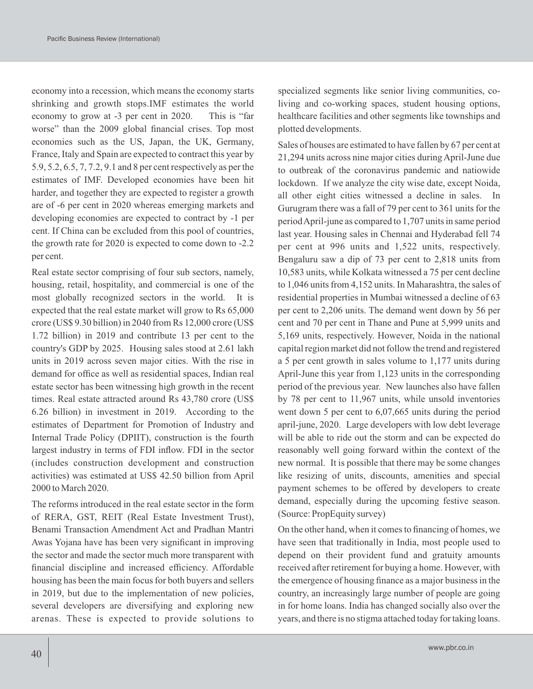economy into a recession, which means the economy starts shrinking and growth stops.IMF estimates the world economy to grow at -3 per cent in 2020. This is "far worse" than the 2009 global financial crises. Top most economies such as the US, Japan, the UK, Germany, France, Italy and Spain are expected to contract this year by 5.9, 5.2, 6.5, 7, 7.2, 9.1 and 8 per cent respectively as per the estimates of IMF. Developed economies have been hit harder, and together they are expected to register a growth are of -6 per cent in 2020 whereas emerging markets and developing economies are expected to contract by -1 per cent. If China can be excluded from this pool of countries, the growth rate for 2020 is expected to come down to -2.2 per cent.

Real estate sector comprising of four sub sectors, namely, housing, retail, hospitality, and commercial is one of the most globally recognized sectors in the world. It is expected that the real estate market will grow to Rs 65,000 crore (US\$ 9.30 billion) in 2040 from Rs 12,000 crore (US\$ 1.72 billion) in 2019 and contribute 13 per cent to the country's GDP by 2025. Housing sales stood at 2.61 lakh units in 2019 across seven major cities. With the rise in demand for office as well as residential spaces, Indian real estate sector has been witnessing high growth in the recent times. Real estate attracted around Rs 43,780 crore (US\$ 6.26 billion) in investment in 2019. According to the estimates of Department for Promotion of Industry and Internal Trade Policy (DPIIT), construction is the fourth largest industry in terms of FDI inflow. FDI in the sector (includes construction development and construction activities) was estimated at US\$ 42.50 billion from April 2000 to March 2020.

The reforms introduced in the real estate sector in the form of RERA, GST, REIT (Real Estate Investment Trust), Benami Transaction Amendment Act and Pradhan Mantri Awas Yojana have has been very significant in improving the sector and made the sector much more transparent with financial discipline and increased efficiency. Affordable housing has been the main focus for both buyers and sellers in 2019, but due to the implementation of new policies, several developers are diversifying and exploring new arenas. These is expected to provide solutions to

specialized segments like senior living communities, coliving and co-working spaces, student housing options, healthcare facilities and other segments like townships and plotted developments.

Sales of houses are estimated to have fallen by 67 per cent at 21,294 units across nine major cities during April-June due to outbreak of the coronavirus pandemic and natiowide lockdown. If we analyze the city wise date, except Noida, all other eight cities witnessed a decline in sales. In Gurugram there was a fall of 79 per cent to 361 units for the period April-june as compared to 1,707 units in same period last year. Housing sales in Chennai and Hyderabad fell 74 per cent at 996 units and 1,522 units, respectively. Bengaluru saw a dip of 73 per cent to 2,818 units from 10,583 units, while Kolkata witnessed a 75 per cent decline to 1,046 units from 4,152 units. In Maharashtra, the sales of residential properties in Mumbai witnessed a decline of 63 per cent to 2,206 units. The demand went down by 56 per cent and 70 per cent in Thane and Pune at 5,999 units and 5,169 units, respectively. However, Noida in the national capital region market did not follow the trend and registered a 5 per cent growth in sales volume to 1,177 units during April-June this year from 1,123 units in the corresponding period of the previous year. New launches also have fallen by 78 per cent to 11,967 units, while unsold inventories went down 5 per cent to 6,07,665 units during the period april-june, 2020. Large developers with low debt leverage will be able to ride out the storm and can be expected do reasonably well going forward within the context of the new normal. It is possible that there may be some changes like resizing of units, discounts, amenities and special payment schemes to be offered by developers to create demand, especially during the upcoming festive season. (Source: PropEquity survey)

On the other hand, when it comes to financing of homes, we have seen that traditionally in India, most people used to depend on their provident fund and gratuity amounts received after retirement for buying a home. However, with the emergence of housing finance as a major business in the country, an increasingly large number of people are going in for home loans. India has changed socially also over the years, and there is no stigma attached today for taking loans.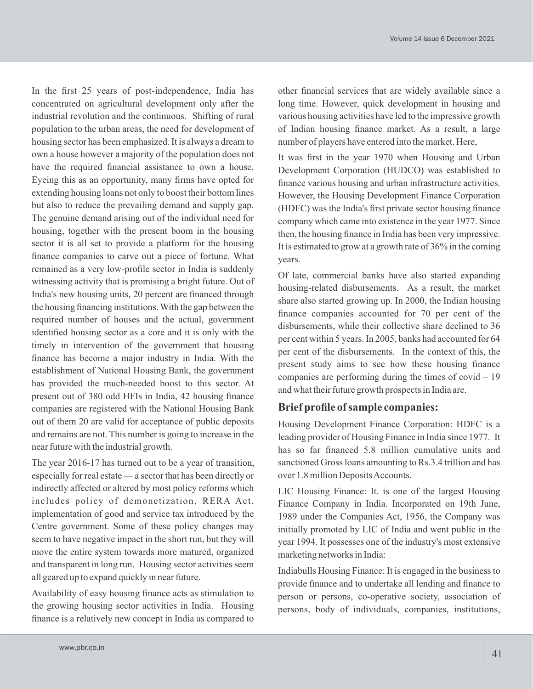In the first 25 years of post-independence, India has concentrated on agricultural development only after the industrial revolution and the continuous. Shifting of rural population to the urban areas, the need for development of housing sector has been emphasized. It is always a dream to own a house however a majority of the population does not have the required financial assistance to own a house. Eyeing this as an opportunity, many firms have opted for extending housing loans not only to boost their bottom lines but also to reduce the prevailing demand and supply gap. The genuine demand arising out of the individual need for housing, together with the present boom in the housing sector it is all set to provide a platform for the housing finance companies to carve out a piece of fortune. What remained as a very low-profile sector in India is suddenly witnessing activity that is promising a bright future. Out of India's new housing units, 20 percent are financed through the housing financing institutions. With the gap between the required number of houses and the actual, government identified housing sector as a core and it is only with the timely in intervention of the government that housing finance has become a major industry in India. With the establishment of National Housing Bank, the government has provided the much-needed boost to this sector. At present out of 380 odd HFIs in India, 42 housing finance companies are registered with the National Housing Bank out of them 20 are valid for acceptance of public deposits and remains are not. This number is going to increase in the near future with the industrial growth.

The year 2016-17 has turned out to be a year of transition, especially for real estate — a sector that has been directly or indirectly affected or altered by most policy reforms which includes policy of demonetization, RERA Act, implementation of good and service tax introduced by the Centre government. Some of these policy changes may seem to have negative impact in the short run, but they will move the entire system towards more matured, organized and transparent in long run. Housing sector activities seem all geared up to expand quickly in near future.

Availability of easy housing finance acts as stimulation to the growing housing sector activities in India. Housing finance is a relatively new concept in India as compared to other financial services that are widely available since a long time. However, quick development in housing and various housing activities have led to the impressive growth of Indian housing finance market. As a result, a large number of players have entered into the market. Here,

It was first in the year 1970 when Housing and Urban Development Corporation (HUDCO) was established to finance various housing and urban infrastructure activities. However, the Housing Development Finance Corporation (HDFC) was the India's first private sector housing finance company which came into existence in the year 1977. Since then, the housing finance in India has been very impressive. It is estimated to grow at a growth rate of 36% in the coming years.

Of late, commercial banks have also started expanding housing-related disbursements. As a result, the market share also started growing up. In 2000, the Indian housing finance companies accounted for 70 per cent of the disbursements, while their collective share declined to 36 per cent within 5 years. In 2005, banks had accounted for 64 per cent of the disbursements. In the context of this, the present study aims to see how these housing finance companies are performing during the times of covid – 19 and what their future growth prospects in India are.

# **Brief profile of sample companies:**

Housing Development Finance Corporation: HDFC is a leading provider of Housing Finance in India since 1977. It has so far financed 5.8 million cumulative units and sanctioned Gross loans amounting to Rs.3.4 trillion and has over 1.8 million Deposits Accounts.

LIC Housing Finance: It. is one of the largest Housing Finance Company in India. Incorporated on 19th June, 1989 under the Companies Act, 1956, the Company was initially promoted by LIC of India and went public in the year 1994. It possesses one of the industry's most extensive marketing networks in India:

Indiabulls Housing Finance: It is engaged in the business to provide finance and to undertake all lending and finance to person or persons, co-operative society, association of persons, body of individuals, companies, institutions,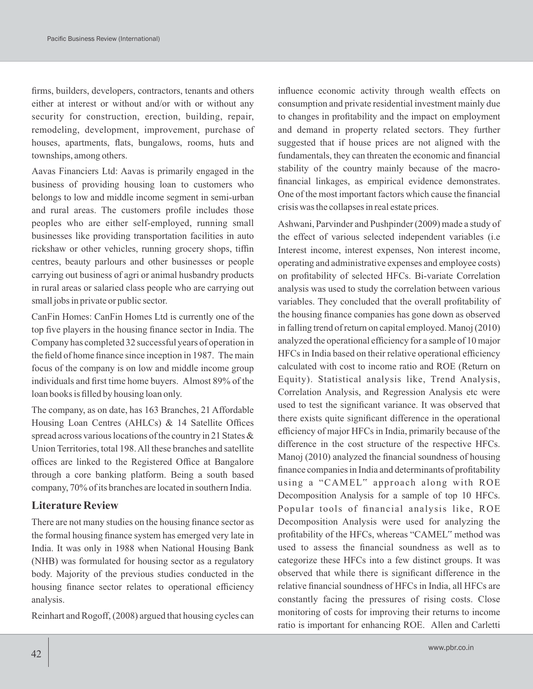firms, builders, developers, contractors, tenants and others either at interest or without and/or with or without any security for construction, erection, building, repair, remodeling, development, improvement, purchase of houses, apartments, flats, bungalows, rooms, huts and townships, among others.

Aavas Financiers Ltd: Aavas is primarily engaged in the business of providing housing loan to customers who belongs to low and middle income segment in semi-urban and rural areas. The customers profile includes those peoples who are either self-employed, running small businesses like providing transportation facilities in auto rickshaw or other vehicles, running grocery shops, tiffin centres, beauty parlours and other businesses or people carrying out business of agri or animal husbandry products in rural areas or salaried class people who are carrying out small jobs in private or public sector.

CanFin Homes: CanFin Homes Ltd is currently one of the top five players in the housing finance sector in India. The Company has completed 32 successful years of operation in the field of home finance since inception in 1987. The main focus of the company is on low and middle income group individuals and first time home buyers. Almost 89% of the loan books is filled by housing loan only.

The company, as on date, has 163 Branches, 21 Affordable Housing Loan Centres (AHLCs) & 14 Satellite Offices spread across various locations of the country in 21 States & Union Territories, total 198. All these branches and satellite offices are linked to the Registered Office at Bangalore through a core banking platform. Being a south based company, 70% of its branches are located in southern India.

# **Literature Review**

There are not many studies on the housing finance sector as the formal housing finance system has emerged very late in India. It was only in 1988 when National Housing Bank (NHB) was formulated for housing sector as a regulatory body. Majority of the previous studies conducted in the housing finance sector relates to operational efficiency analysis.

Reinhart and Rogoff, (2008) argued that housing cycles can

influence economic activity through wealth effects on consumption and private residential investment mainly due to changes in profitability and the impact on employment and demand in property related sectors. They further suggested that if house prices are not aligned with the fundamentals, they can threaten the economic and financial stability of the country mainly because of the macrofinancial linkages, as empirical evidence demonstrates. One of the most important factors which cause the financial crisis was the collapses in real estate prices.

Ashwani, Parvinder and Pushpinder (2009) made a study of the effect of various selected independent variables (i.e Interest income, interest expenses, Non interest income, operating and administrative expenses and employee costs) on profitability of selected HFCs. Bi-variate Correlation analysis was used to study the correlation between various variables. They concluded that the overall profitability of the housing finance companies has gone down as observed in falling trend of return on capital employed. Manoj (2010) analyzed the operational efficiency for a sample of 10 major HFCs in India based on their relative operational efficiency calculated with cost to income ratio and ROE (Return on Equity). Statistical analysis like, Trend Analysis, Correlation Analysis, and Regression Analysis etc were used to test the significant variance. It was observed that there exists quite significant difference in the operational efficiency of major HFCs in India, primarily because of the difference in the cost structure of the respective HFCs. Manoj (2010) analyzed the financial soundness of housing finance companies in India and determinants of profitability using a "CAMEL" approach along with ROE Decomposition Analysis for a sample of top 10 HFCs. Popular tools of financial analysis like, ROE Decomposition Analysis were used for analyzing the profitability of the HFCs, whereas "CAMEL" method was used to assess the financial soundness as well as to categorize these HFCs into a few distinct groups. It was observed that while there is significant difference in the relative financial soundness of HFCs in India, all HFCs are constantly facing the pressures of rising costs. Close monitoring of costs for improving their returns to income ratio is important for enhancing ROE. Allen and Carletti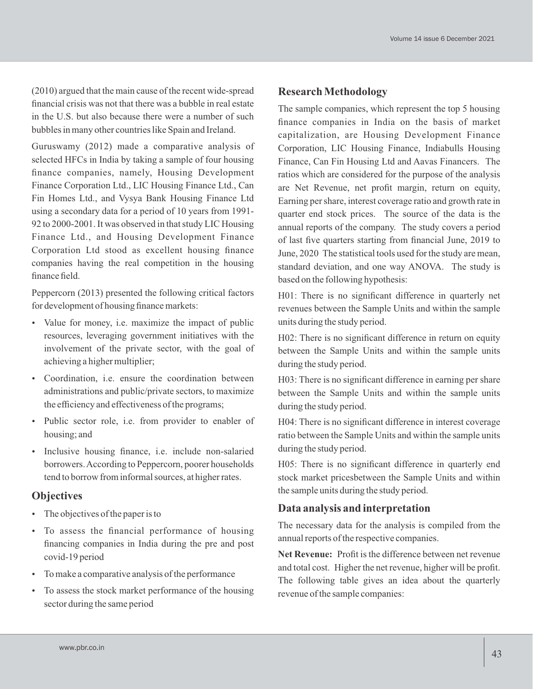(2010) argued that the main cause of the recent wide-spread financial crisis was not that there was a bubble in real estate in the U.S. but also because there were a number of such bubbles in many other countries like Spain and Ireland.

Guruswamy (2012) made a comparative analysis of selected HFCs in India by taking a sample of four housing finance companies, namely, Housing Development Finance Corporation Ltd., LIC Housing Finance Ltd., Can Fin Homes Ltd., and Vysya Bank Housing Finance Ltd using a secondary data for a period of 10 years from 1991- 92 to 2000-2001. It was observed in that study LIC Housing Finance Ltd., and Housing Development Finance Corporation Ltd stood as excellent housing finance companies having the real competition in the housing finance field.

Peppercorn (2013) presented the following critical factors for development of housing finance markets:

- Value for money, i.e. maximize the impact of public resources, leveraging government initiatives with the involvement of the private sector, with the goal of achieving a higher multiplier;
- Coordination, i.e. ensure the coordination between administrations and public/private sectors, to maximize the efficiency and effectiveness of the programs;
- Public sector role, i.e. from provider to enabler of housing; and
- Inclusive housing finance, i.e. include non-salaried borrowers. According to Peppercorn, poorer households tend to borrow from informal sources, at higher rates.

#### **Objectives**

- The objectives of the paper is to
- To assess the financial performance of housing financing companies in India during the pre and post covid-19 period
- To make a comparative analysis of the performance
- To assess the stock market performance of the housing sector during the same period

#### **Research Methodology**

The sample companies, which represent the top 5 housing finance companies in India on the basis of market capitalization, are Housing Development Finance Corporation, LIC Housing Finance, Indiabulls Housing Finance, Can Fin Housing Ltd and Aavas Financers. The ratios which are considered for the purpose of the analysis are Net Revenue, net profit margin, return on equity, Earning per share, interest coverage ratio and growth rate in quarter end stock prices. The source of the data is the annual reports of the company. The study covers a period of last five quarters starting from financial June, 2019 to June, 2020 The statistical tools used for the study are mean, standard deviation, and one way ANOVA. The study is based on the following hypothesis:

H01: There is no significant difference in quarterly net revenues between the Sample Units and within the sample units during the study period.

H02: There is no significant difference in return on equity between the Sample Units and within the sample units during the study period.

H03: There is no significant difference in earning per share between the Sample Units and within the sample units during the study period.

H04: There is no significant difference in interest coverage ratio between the Sample Units and within the sample units during the study period.

H05: There is no significant difference in quarterly end stock market pricesbetween the Sample Units and within the sample units during the study period.

# **Data analysis and interpretation**

The necessary data for the analysis is compiled from the annual reports of the respective companies.

**Net Revenue:** Profit is the difference between net revenue and total cost. Higher the net revenue, higher will be profit. The following table gives an idea about the quarterly revenue of the sample companies: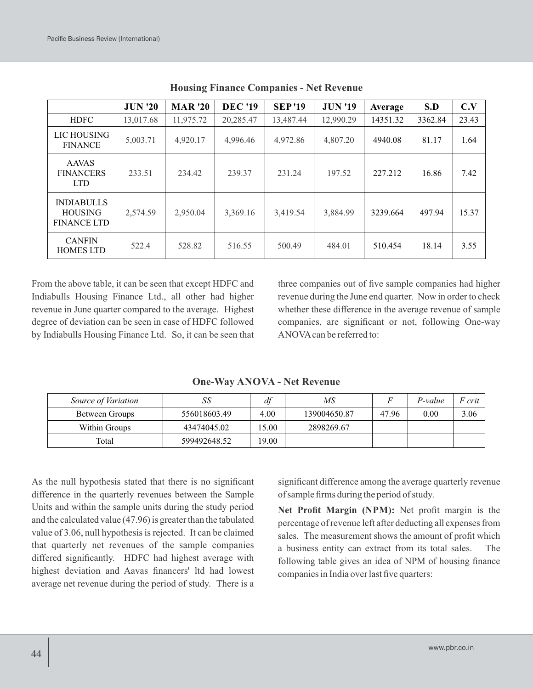|                                                           | <b>JUN '20</b> | <b>MAR</b> '20 | <b>DEC '19</b> | <b>SEP'19</b> | <b>JUN '19</b> | Average  | S.D     | C.V   |
|-----------------------------------------------------------|----------------|----------------|----------------|---------------|----------------|----------|---------|-------|
| <b>HDFC</b>                                               | 13,017.68      | 11,975.72      | 20,285.47      | 13,487.44     | 12,990.29      | 14351.32 | 3362.84 | 23.43 |
| LIC HOUSING<br><b>FINANCE</b>                             | 5,003.71       | 4,920.17       | 4,996.46       | 4,972.86      | 4,807.20       | 4940.08  | 81.17   | 1.64  |
| <b>AAVAS</b><br><b>FINANCERS</b><br><b>LTD</b>            | 233.51         | 234.42         | 239.37         | 231.24        | 197.52         | 227.212  | 16.86   | 7.42  |
| <b>INDIABULLS</b><br><b>HOUSING</b><br><b>FINANCE LTD</b> | 2,574.59       | 2,950.04       | 3,369.16       | 3,419.54      | 3,884.99       | 3239.664 | 497.94  | 15.37 |
| <b>CANFIN</b><br><b>HOMES LTD</b>                         | 522.4          | 528.82         | 516.55         | 500.49        | 484.01         | 510.454  | 18.14   | 3.55  |

**Housing Finance Companies - Net Revenue**

From the above table, it can be seen that except HDFC and Indiabulls Housing Finance Ltd., all other had higher revenue in June quarter compared to the average. Highest degree of deviation can be seen in case of HDFC followed by Indiabulls Housing Finance Ltd. So, it can be seen that three companies out of five sample companies had higher revenue during the June end quarter. Now in order to check whether these difference in the average revenue of sample companies, are significant or not, following One-way ANOVAcan be referred to:

| Source of Variation | SS           | df    | MS           |       | P-value | F crit |
|---------------------|--------------|-------|--------------|-------|---------|--------|
| Between Groups      | 556018603.49 | 4.00  | 139004650.87 | 47.96 | 0.00    | 3.06   |
| Within Groups       | 43474045.02  | 5.00  | 2898269.67   |       |         |        |
| Total               | 599492648.52 | 19.00 |              |       |         |        |

**One-Way ANOVA - Net Revenue**

As the null hypothesis stated that there is no significant difference in the quarterly revenues between the Sample Units and within the sample units during the study period and the calculated value (47.96) is greater than the tabulated value of 3.06, null hypothesis is rejected. It can be claimed that quarterly net revenues of the sample companies differed significantly. HDFC had highest average with highest deviation and Aavas financers' ltd had lowest average net revenue during the period of study. There is a

significant difference among the average quarterly revenue of sample firms during the period of study.

**Net Profit Margin (NPM):** Net profit margin is the percentage of revenue left after deducting all expenses from sales. The measurement shows the amount of profit which a business entity can extract from its total sales. The following table gives an idea of NPM of housing finance companies in India over last five quarters: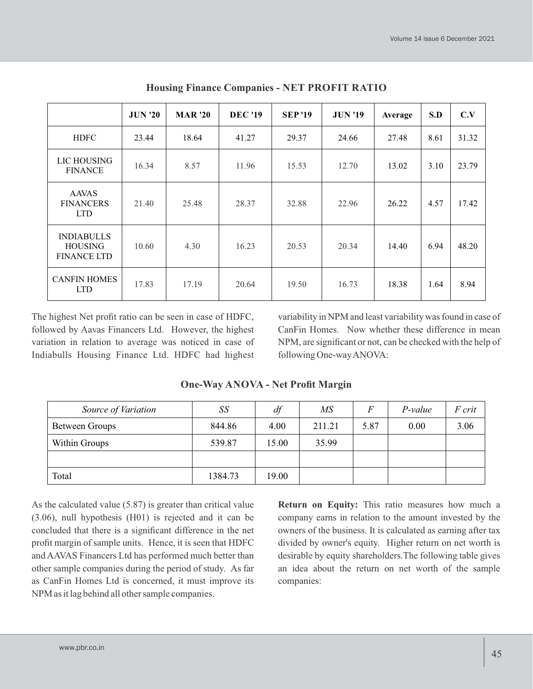|                                                           | <b>JUN '20</b> | <b>MAR</b> '20 | <b>DEC '19</b> | <b>SEP</b> '19 | <b>JUN '19</b> | Average | S.D  | C.V   |
|-----------------------------------------------------------|----------------|----------------|----------------|----------------|----------------|---------|------|-------|
| <b>HDFC</b>                                               | 23.44          | 18.64          | 41.27          | 29.37          | 24.66          | 27.48   | 8.61 | 31.32 |
| LIC HOUSING<br><b>FINANCE</b>                             | 16.34          | 8.57           | 11.96          | 15.53          | 12.70          | 13.02   | 3.10 | 23.79 |
| <b>AAVAS</b><br><b>FINANCERS</b><br><b>LTD</b>            | 21.40          | 25.48          | 28.37          | 32.88          | 22.96          | 26.22   | 4.57 | 17.42 |
| <b>INDIABULLS</b><br><b>HOUSING</b><br><b>FINANCE LTD</b> | 10.60          | 4.30           | 16.23          | 20.53          | 20.34          | 14.40   | 6.94 | 48.20 |
| <b>CANFIN HOMES</b><br><b>LTD</b>                         | 17.83          | 17.19          | 20.64          | 19.50          | 16.73          | 18.38   | 1.64 | 8.94  |

**Housing Finance Companies - NET PROFIT RATIO**

The highest Net profit ratio can be seen in case of HDFC, followed by Aavas Financers Ltd. However, the highest variation in relation to average was noticed in case of Indiabulls Housing Finance Ltd. HDFC had highest variability in NPM and least variability was found in case of CanFin Homes. Now whether these difference in mean NPM, are significant or not, can be checked with the help of following One-way ANOVA:

| Source of Variation | SS      | df    | MS     | $\boldsymbol{F}$ | P-value | F crit |
|---------------------|---------|-------|--------|------------------|---------|--------|
| Between Groups      | 844.86  | 4.00  | 211.21 | 5.87             | 0.00    | 3.06   |
| Within Groups       | 539.87  | 15.00 | 35.99  |                  |         |        |
|                     |         |       |        |                  |         |        |
| Total               | 1384.73 | 19.00 |        |                  |         |        |

**One-Way ANOVA - Net Profit Margin**

As the calculated value (5.87) is greater than critical value (3.06), null hypothesis (H01) is rejected and it can be concluded that there is a significant difference in the net profit margin of sample units. Hence, it is seen that HDFC and AAVAS Financers Ltd has performed much better than other sample companies during the period of study. As far as CanFin Homes Ltd is concerned, it must improve its NPM as it lag behind all other sample companies.

**Return on Equity:** This ratio measures how much a company earns in relation to the amount invested by the owners of the business. It is calculated as earning after tax divided by owner's equity. Higher return on net worth is desirable by equity shareholders.The following table gives an idea about the return on net worth of the sample companies: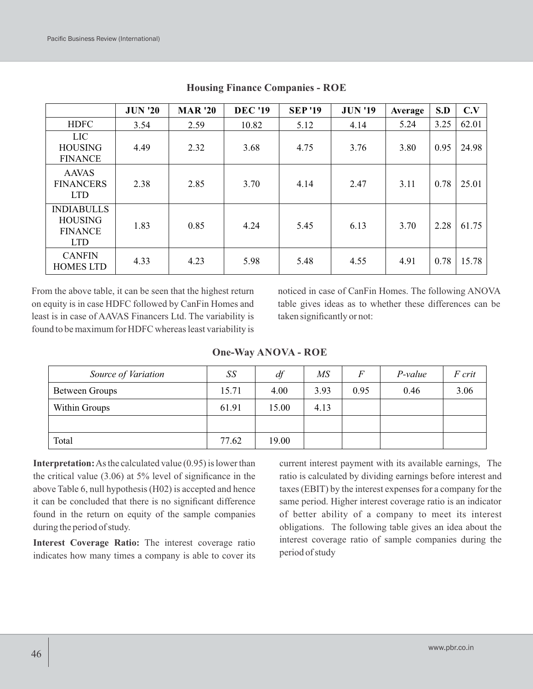|                                                                     | <b>JUN '20</b> | <b>MAR</b> '20 | <b>DEC</b> '19 | <b>SEP'19</b> | <b>JUN '19</b> | Average | S.D  | C.V   |
|---------------------------------------------------------------------|----------------|----------------|----------------|---------------|----------------|---------|------|-------|
| <b>HDFC</b>                                                         | 3.54           | 2.59           | 10.82          | 5.12          | 4.14           | 5.24    | 3.25 | 62.01 |
| LIC.<br><b>HOUSING</b><br><b>FINANCE</b>                            | 4.49           | 2.32           | 3.68           | 4.75          | 3.76           | 3.80    | 0.95 | 24.98 |
| <b>AAVAS</b><br><b>FINANCERS</b><br><b>LTD</b>                      | 2.38           | 2.85           | 3.70           | 4.14          | 2.47           | 3.11    | 0.78 | 25.01 |
| <b>INDIABULLS</b><br><b>HOUSING</b><br><b>FINANCE</b><br><b>LTD</b> | 1.83           | 0.85           | 4.24           | 5.45          | 6.13           | 3.70    | 2.28 | 61.75 |
| <b>CANFIN</b><br><b>HOMES LTD</b>                                   | 4.33           | 4.23           | 5.98           | 5.48          | 4.55           | 4.91    | 0.78 | 15.78 |

**Housing Finance Companies - ROE**

From the above table, it can be seen that the highest return on equity is in case HDFC followed by CanFin Homes and least is in case of AAVAS Financers Ltd. The variability is found to be maximum for HDFC whereas least variability is noticed in case of CanFin Homes. The following ANOVA table gives ideas as to whether these differences can be taken significantly or not:

|  | <b>One-Way ANOVA - ROE</b> |  |
|--|----------------------------|--|
|--|----------------------------|--|

| Source of Variation | $\mathcal{S}\mathcal{S}$ | $\mathbf{z}$<br>at | MS   | $\overline{ }$ | P-value | F crit |
|---------------------|--------------------------|--------------------|------|----------------|---------|--------|
| Between Groups      | 15.71                    | 4.00               | 3.93 | 0.95           | 0.46    | 3.06   |
| Within Groups       | 61.91                    | 15.00              | 4.13 |                |         |        |
|                     |                          |                    |      |                |         |        |
| Total               | 77.62                    | 19.00              |      |                |         |        |

**Interpretation:**As the calculated value (0.95) is lower than the critical value (3.06) at 5% level of significance in the above Table 6, null hypothesis (H02) is accepted and hence it can be concluded that there is no significant difference found in the return on equity of the sample companies during the period of study.

**Interest Coverage Ratio:** The interest coverage ratio indicates how many times a company is able to cover its current interest payment with its available earnings, The ratio is calculated by dividing earnings before interest and taxes (EBIT) by the interest expenses for a company for the same period. Higher interest coverage ratio is an indicator of better ability of a company to meet its interest obligations. The following table gives an idea about the interest coverage ratio of sample companies during the period of study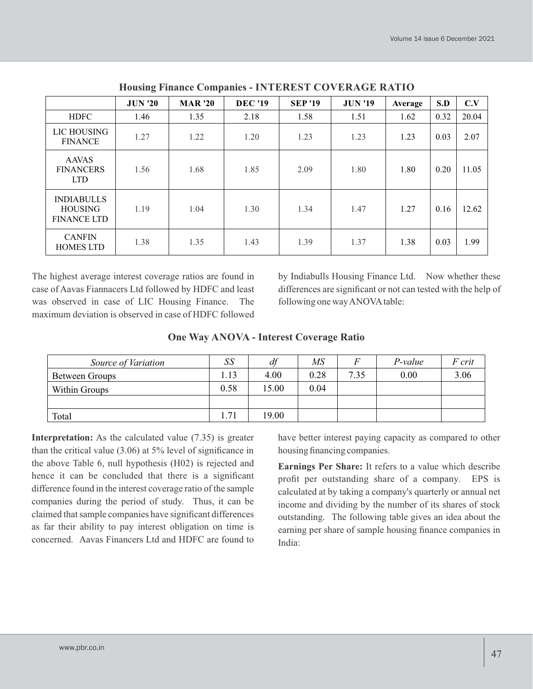|                                                           | <b>JUN '20</b> | <b>MAR</b> '20 | <b>DEC</b> '19 | <b>SEP</b> '19 | <b>JUN '19</b> | Average | S.D  | C.V   |
|-----------------------------------------------------------|----------------|----------------|----------------|----------------|----------------|---------|------|-------|
| <b>HDFC</b>                                               | 1.46           | 1.35           | 2.18           | 1.58           | 1.51           | 1.62    | 0.32 | 20.04 |
| LIC HOUSING<br><b>FINANCE</b>                             | 1.27           | 1.22           | 1.20           | 1.23           | 1.23           | 1.23    | 0.03 | 2.07  |
| <b>AAVAS</b><br><b>FINANCERS</b><br><b>LTD</b>            | 1.56           | 1.68           | 1.85           | 2.09           | 1.80           | 1.80    | 0.20 | 11.05 |
| <b>INDIABULLS</b><br><b>HOUSING</b><br><b>FINANCE LTD</b> | 1.19           | 1.04           | 1.30           | 1.34           | 1.47           | 1.27    | 0.16 | 12.62 |
| <b>CANFIN</b><br><b>HOMES LTD</b>                         | 1.38           | 1.35           | 1.43           | 1.39           | 1.37           | 1.38    | 0.03 | 1.99  |

**Housing Finance Companies - INTEREST COVERAGE RATIO**

The highest average interest coverage ratios are found in case of Aavas Fiannacers Ltd followed by HDFC and least was observed in case of LIC Housing Finance. The maximum deviation is observed in case of HDFC followed

by Indiabulls Housing Finance Ltd. Now whether these differences are significant or not can tested with the help of following one way ANOVAtable:

#### **One Way ANOVA - Interest Coverage Ratio**

| Source of Variation | SS   | df    | ΜS   |      | P-value | F crit |
|---------------------|------|-------|------|------|---------|--------|
| Between Groups      | 1.13 | 4.00  | 0.28 | 7.35 | 0.00    | 3.06   |
| Within Groups       | 0.58 | 15.00 | 0.04 |      |         |        |
|                     |      |       |      |      |         |        |
| Total               | .71  | 19.00 |      |      |         |        |

**Interpretation:** As the calculated value (7.35) is greater than the critical value (3.06) at 5% level of significance in the above Table 6, null hypothesis (H02) is rejected and hence it can be concluded that there is a significant difference found in the interest coverage ratio of the sample companies during the period of study. Thus, it can be claimed that sample companies have significant differences as far their ability to pay interest obligation on time is concerned. Aavas Financers Ltd and HDFC are found to have better interest paying capacity as compared to other housing financing companies.

**Earnings Per Share:** It refers to a value which describe profit per outstanding share of a company. EPS is calculated at by taking a company's quarterly or annual net income and dividing by the number of its shares of stock outstanding. The following table gives an idea about the earning per share of sample housing finance companies in India: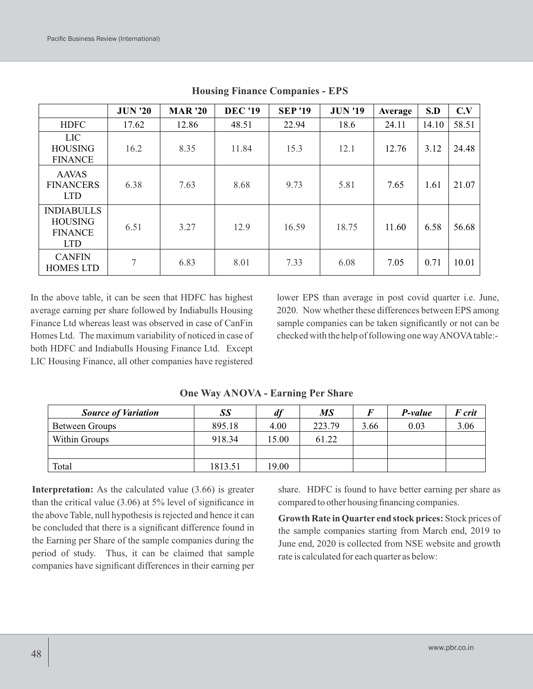|                                                                     | <b>JUN '20</b> | <b>MAR</b> '20 | <b>DEC</b> '19 | <b>SEP'19</b> | <b>JUN '19</b> | Average | S.D   | C.V   |
|---------------------------------------------------------------------|----------------|----------------|----------------|---------------|----------------|---------|-------|-------|
| <b>HDFC</b>                                                         | 17.62          | 12.86          | 48.51          | 22.94         | 18.6           | 24.11   | 14.10 | 58.51 |
| <b>LIC</b><br><b>HOUSING</b><br><b>FINANCE</b>                      | 16.2           | 8.35           | 11.84          | 15.3          | 12.1           | 12.76   | 3.12  | 24.48 |
| <b>AAVAS</b><br><b>FINANCERS</b><br><b>LTD</b>                      | 6.38           | 7.63           | 8.68           | 9.73          | 5.81           | 7.65    | 1.61  | 21.07 |
| <b>INDIABULLS</b><br><b>HOUSING</b><br><b>FINANCE</b><br><b>LTD</b> | 6.51           | 3.27           | 12.9           | 16.59         | 18.75          | 11.60   | 6.58  | 56.68 |
| <b>CANFIN</b><br><b>HOMES LTD</b>                                   | $\overline{7}$ | 6.83           | 8.01           | 7.33          | 6.08           | 7.05    | 0.71  | 10.01 |

**Housing Finance Companies - EPS**

In the above table, it can be seen that HDFC has highest average earning per share followed by Indiabulls Housing Finance Ltd whereas least was observed in case of CanFin Homes Ltd. The maximum variability of noticed in case of both HDFC and Indiabulls Housing Finance Ltd. Except LIC Housing Finance, all other companies have registered

lower EPS than average in post covid quarter i.e. June, 2020. Now whether these differences between EPS among sample companies can be taken significantly or not can be checked with the help of following one way ANOVAtable:-

| <b>Source of Variation</b> | SS      | df    | МS     |      | P-value | F crit |
|----------------------------|---------|-------|--------|------|---------|--------|
| Between Groups             | 895.18  | 4.00  | 223.79 | 3.66 | 0.03    | 3.06   |
| Within Groups              | 918.34  | 15.00 | 61.22  |      |         |        |
|                            |         |       |        |      |         |        |
| Total                      | 1813.51 | 19.00 |        |      |         |        |

**One Way ANOVA - Earning Per Share**

**Interpretation:** As the calculated value (3.66) is greater than the critical value (3.06) at 5% level of significance in the above Table, null hypothesis is rejected and hence it can be concluded that there is a significant difference found in the Earning per Share of the sample companies during the period of study. Thus, it can be claimed that sample companies have significant differences in their earning per share. HDFC is found to have better earning per share as compared to other housing financing companies.

**Growth Rate in Quarter end stock prices:** Stock prices of the sample companies starting from March end, 2019 to June end, 2020 is collected from NSE website and growth rate is calculated for each quarter as below: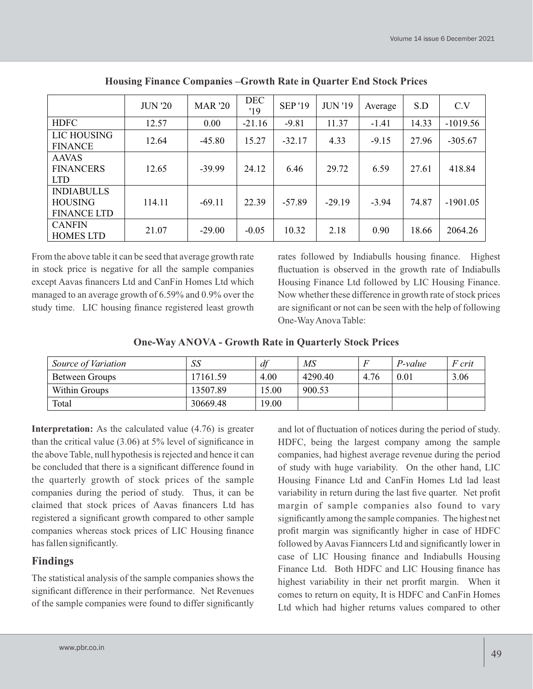|                                                           | <b>JUN '20</b> | <b>MAR</b> '20 | <b>DEC</b><br>'19 | <b>SEP</b> '19 | <b>JUN '19</b> | Average | S.D   | C.V        |
|-----------------------------------------------------------|----------------|----------------|-------------------|----------------|----------------|---------|-------|------------|
| <b>HDFC</b>                                               | 12.57          | 0.00           | $-21.16$          | $-9.81$        | 11.37          | $-1.41$ | 14.33 | $-1019.56$ |
| LIC HOUSING<br><b>FINANCE</b>                             | 12.64          | $-45.80$       | 15.27             | $-32.17$       | 4.33           | $-9.15$ | 27.96 | $-305.67$  |
| <b>AAVAS</b><br><b>FINANCERS</b><br><b>LTD</b>            | 12.65          | $-39.99$       | 24.12             | 6.46           | 29.72          | 6.59    | 27.61 | 418.84     |
| <b>INDIABULLS</b><br><b>HOUSING</b><br><b>FINANCE LTD</b> | 114.11         | $-69.11$       | 22.39             | $-57.89$       | $-29.19$       | $-3.94$ | 74.87 | $-1901.05$ |
| <b>CANFIN</b><br><b>HOMES LTD</b>                         | 21.07          | $-29.00$       | $-0.05$           | 10.32          | 2.18           | 0.90    | 18.66 | 2064.26    |

**Housing Finance Companies –Growth Rate in Quarter End Stock Prices**

From the above table it can be seed that average growth rate in stock price is negative for all the sample companies except Aavas financers Ltd and CanFin Homes Ltd which managed to an average growth of 6.59% and 0.9% over the study time. LIC housing finance registered least growth rates followed by Indiabulls housing finance. Highest fluctuation is observed in the growth rate of Indiabulls Housing Finance Ltd followed by LIC Housing Finance. Now whether these difference in growth rate of stock prices are significant or not can be seen with the help of following One-Way Anova Table:

| <b>One-Way ANOVA - Growth Rate in Quarterly Stock Prices</b> |  |
|--------------------------------------------------------------|--|
|--------------------------------------------------------------|--|

| Source of Variation | SS       | df    | MS      |      | P-value | F crit |
|---------------------|----------|-------|---------|------|---------|--------|
| Between Groups      | 17161.59 | 4.00  | 4290.40 | 4.76 | 0.01    | 3.06   |
| Within Groups       | 13507.89 | 15.00 | 900.53  |      |         |        |
| Total               | 30669.48 | 19.00 |         |      |         |        |

**Interpretation:** As the calculated value  $(4.76)$  is greater than the critical value (3.06) at 5% level of significance in the above Table, null hypothesis is rejected and hence it can be concluded that there is a significant difference found in the quarterly growth of stock prices of the sample companies during the period of study. Thus, it can be claimed that stock prices of Aavas financers Ltd has registered a significant growth compared to other sample companies whereas stock prices of LIC Housing finance has fallen significantly.

# **Findings**

The statistical analysis of the sample companies shows the significant difference in their performance. Net Revenues of the sample companies were found to differ significantly and lot of fluctuation of notices during the period of study. HDFC, being the largest company among the sample companies, had highest average revenue during the period of study with huge variability. On the other hand, LIC Housing Finance Ltd and CanFin Homes Ltd lad least variability in return during the last five quarter. Net profit margin of sample companies also found to vary significantly among the sample companies. The highest net profit margin was significantly higher in case of HDFC followed by Aavas Fianncers Ltd and significantly lower in case of LIC Housing finance and Indiabulls Housing Finance Ltd. Both HDFC and LIC Housing finance has highest variability in their net prorfit margin. When it comes to return on equity, It is HDFC and CanFin Homes Ltd which had higher returns values compared to other